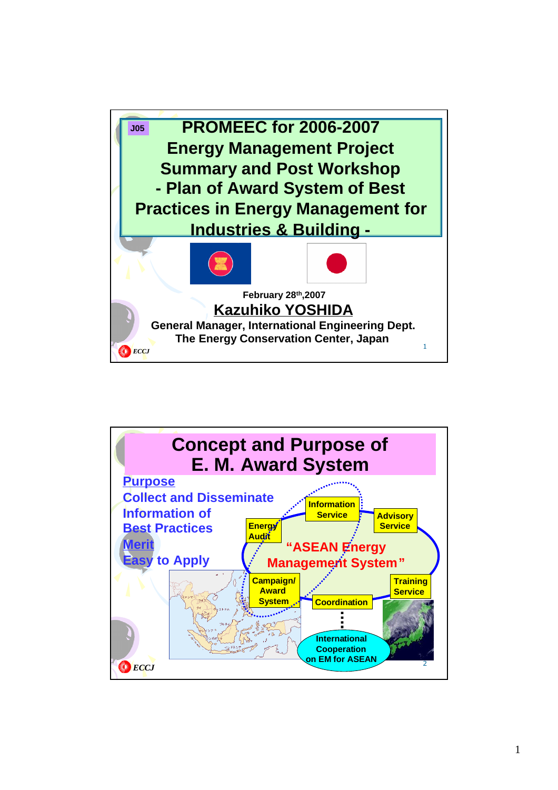

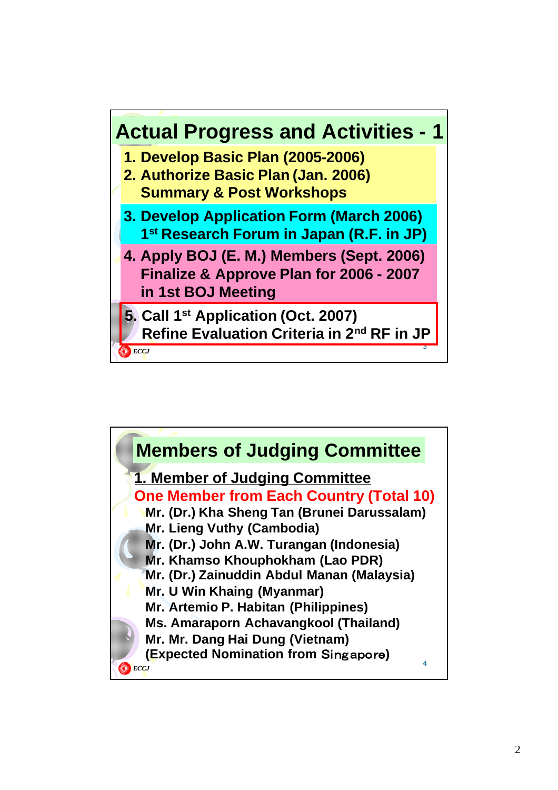

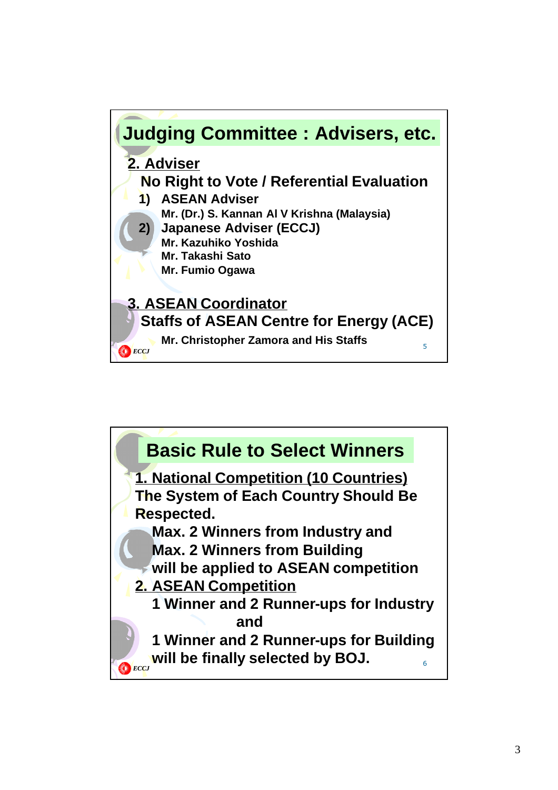

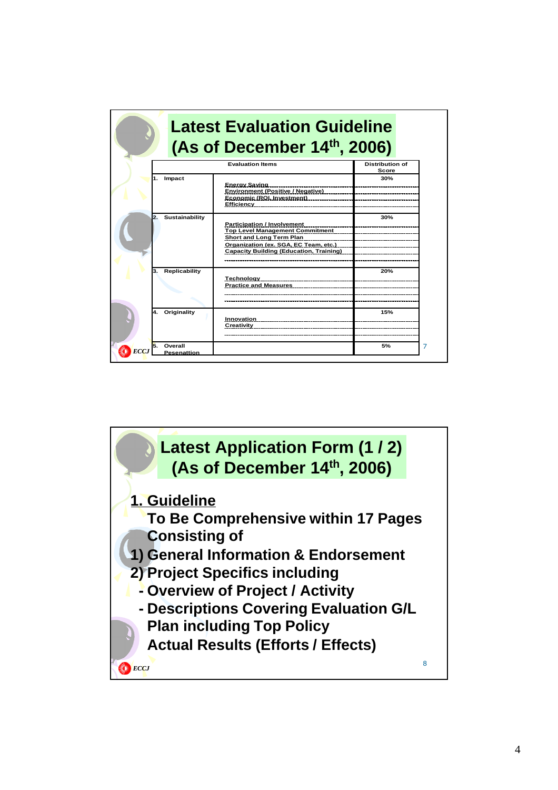|                                | <b>Latest Evaluation Guideline</b><br>(As of December 14th, 2006)                                                                                                                                   |                                 |
|--------------------------------|-----------------------------------------------------------------------------------------------------------------------------------------------------------------------------------------------------|---------------------------------|
|                                | <b>Evaluation Items</b>                                                                                                                                                                             | <b>Distribution of</b><br>Score |
| 1. Impact                      | Energy Saving<br><b>Environment (Positive / Negative)</b><br>Economic (ROI, Investment)<br>Efficiency                                                                                               | 30%                             |
| Sustainability<br>$\mathbf{2}$ | <b>Participation / Involvement</b><br><b>Top Level Management Commitment</b><br>Short and Long Term Plan<br>Organization (ex. SGA, EC Team, etc.)<br><b>Capacity Building (Education, Training)</b> | 30%                             |
| <b>Replicability</b>           | Technology<br><b>Practice and Measures</b>                                                                                                                                                          | 20%                             |
| Originality<br>4.              | Innovation<br>Creativity                                                                                                                                                                            | 15%                             |
| Overall<br><b>Pesenattion</b>  |                                                                                                                                                                                                     | 5%                              |

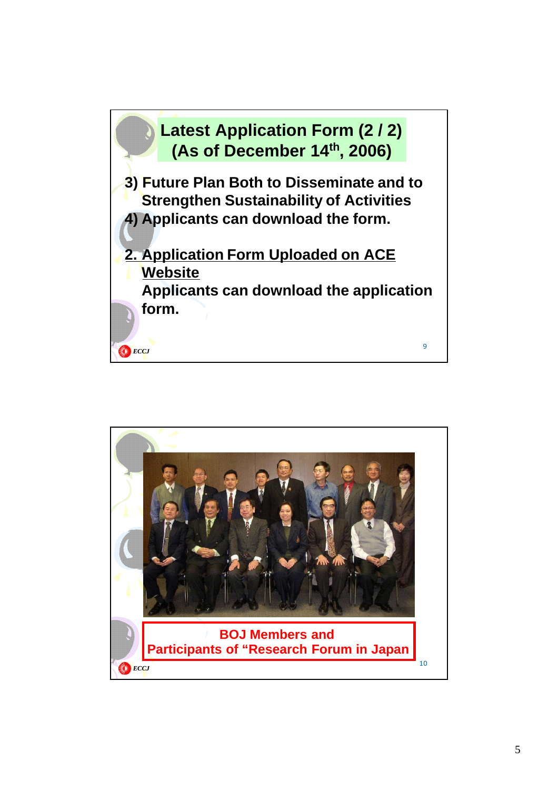

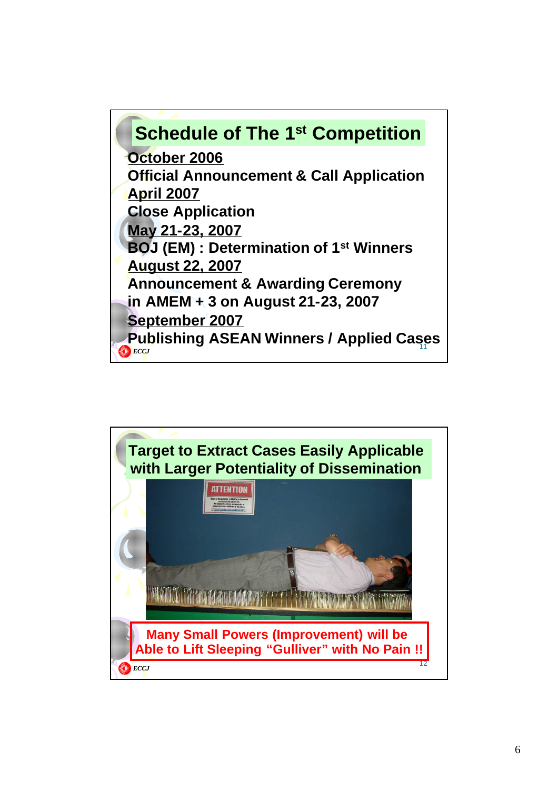## **Publishing ASEAN Winners / Applied Cases ECCJ Schedule of The 1st Competition October 2006 Official Announcement & Call Application April 2007 Close Application May 21-23, 2007 BOJ (EM) : Determination of 1st Winners August 22, 2007 Announcement & Awarding Ceremony in AMEM + 3 on August 21-23, 2007 September 2007**